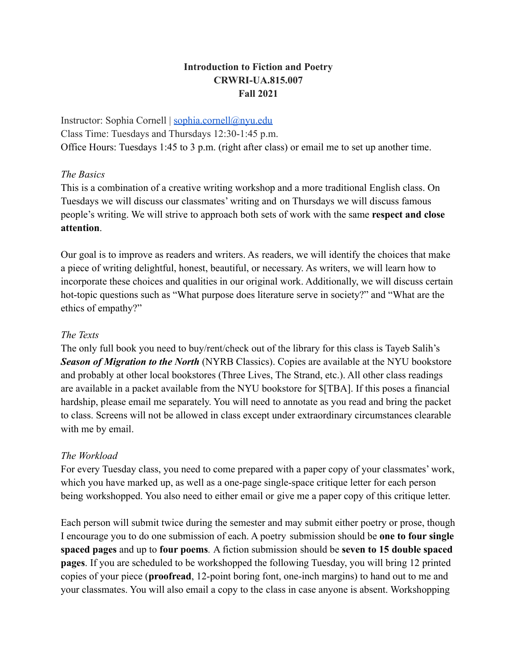## **Introduction to Fiction and Poetry CRWRI-UA.815.007 Fall 2021**

Instructor: Sophia Cornell | [sophia.cornell@nyu.edu](mailto:sophia.cornell@nyu.edu) Class Time: Tuesdays and Thursdays 12:30-1:45 p.m. Office Hours: Tuesdays 1:45 to 3 p.m. (right after class) or email me to set up another time.

## *The Basics*

This is a combination of a creative writing workshop and a more traditional English class. On Tuesdays we will discuss our classmates' writing and on Thursdays we will discuss famous people's writing. We will strive to approach both sets of work with the same **respect and close attention**.

Our goal is to improve as readers and writers. As readers, we will identify the choices that make a piece of writing delightful, honest, beautiful, or necessary. As writers, we will learn how to incorporate these choices and qualities in our original work. Additionally, we will discuss certain hot-topic questions such as "What purpose does literature serve in society?" and "What are the ethics of empathy?"

### *The Texts*

The only full book you need to buy/rent/check out of the library for this class is Tayeb Salih's **Season of Migration to the North** (NYRB Classics). Copies are available at the NYU bookstore and probably at other local bookstores (Three Lives, The Strand, etc.). All other class readings are available in a packet available from the NYU bookstore for \$[TBA]. If this poses a financial hardship, please email me separately. You will need to annotate as you read and bring the packet to class. Screens will not be allowed in class except under extraordinary circumstances clearable with me by email.

## *The Workload*

For every Tuesday class, you need to come prepared with a paper copy of your classmates' work, which you have marked up, as well as a one-page single-space critique letter for each person being workshopped. You also need to either email or give me a paper copy of this critique letter.

Each person will submit twice during the semester and may submit either poetry or prose, though I encourage you to do one submission of each. A poetry submission should be **one to four single spaced pages** and up to **four poems***.* A fiction submission should be **seven to 15 double spaced pages**. If you are scheduled to be workshopped the following Tuesday, you will bring 12 printed copies of your piece (**proofread**, 12-point boring font, one-inch margins) to hand out to me and your classmates. You will also email a copy to the class in case anyone is absent. Workshopping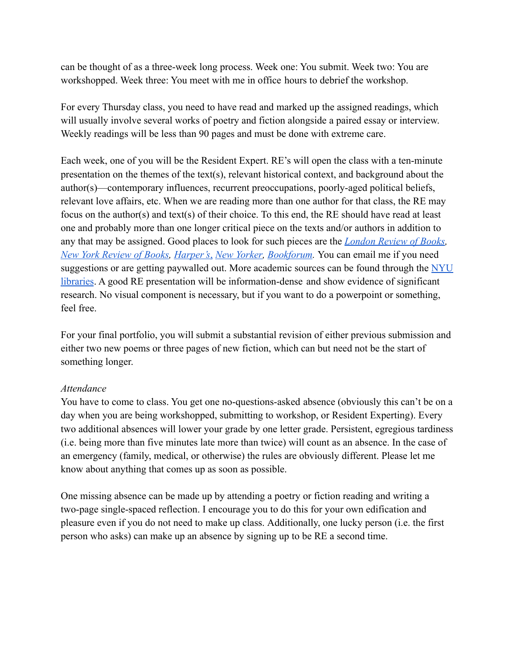can be thought of as a three-week long process. Week one: You submit. Week two: You are workshopped. Week three: You meet with me in office hours to debrief the workshop.

For every Thursday class, you need to have read and marked up the assigned readings, which will usually involve several works of poetry and fiction alongside a paired essay or interview. Weekly readings will be less than 90 pages and must be done with extreme care.

Each week, one of you will be the Resident Expert. RE's will open the class with a ten-minute presentation on the themes of the text(s), relevant historical context, and background about the author(s)—contemporary influences, recurrent preoccupations, poorly-aged political beliefs, relevant love affairs, etc. When we are reading more than one author for that class, the RE may focus on the author(s) and text(s) of their choice. To this end, the RE should have read at least one and probably more than one longer critical piece on the texts and/or authors in addition to any that may be assigned. Good places to look for such pieces are the *[London Review of Books](https://www.lrb.co.uk/), [New York Review of Books](https://www.nybooks.com/), [Harper's](https://harpers.org/)*, *[New Yorker](https://www.newyorker.com/), [Bookforum](https://www.bookforum.com/).* You can email me if you need suggestions or are getting paywalled out. More academic sources can be found through the [NYU](https://guides.nyu.edu/english-and-american-literature) [libraries](https://guides.nyu.edu/english-and-american-literature). A good RE presentation will be information-dense and show evidence of significant research. No visual component is necessary, but if you want to do a powerpoint or something, feel free.

For your final portfolio, you will submit a substantial revision of either previous submission and either two new poems or three pages of new fiction, which can but need not be the start of something longer.

## *Attendance*

You have to come to class. You get one no-questions-asked absence (obviously this can't be on a day when you are being workshopped, submitting to workshop, or Resident Experting). Every two additional absences will lower your grade by one letter grade. Persistent, egregious tardiness (i.e. being more than five minutes late more than twice) will count as an absence. In the case of an emergency (family, medical, or otherwise) the rules are obviously different. Please let me know about anything that comes up as soon as possible.

One missing absence can be made up by attending a poetry or fiction reading and writing a two-page single-spaced reflection. I encourage you to do this for your own edification and pleasure even if you do not need to make up class. Additionally, one lucky person (i.e. the first person who asks) can make up an absence by signing up to be RE a second time.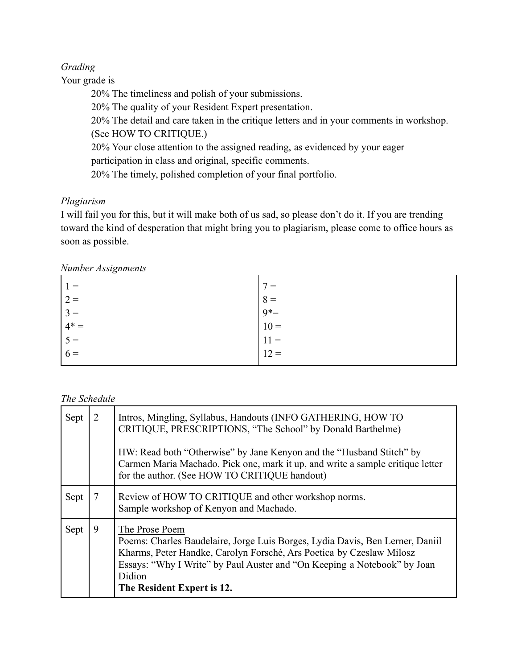## *Grading*

Your grade is

20% The timeliness and polish of your submissions. 20% The quality of your Resident Expert presentation. 20% The detail and care taken in the critique letters and in your comments in workshop. (See HOW TO CRITIQUE.) 20% Your close attention to the assigned reading, as evidenced by your eager participation in class and original, specific comments. 20% The timely, polished completion of your final portfolio.

# *Plagiarism*

I will fail you for this, but it will make both of us sad, so please don't do it. If you are trending toward the kind of desperation that might bring you to plagiarism, please come to office hours as soon as possible.

*Number Assignments*

| $1 =$                                      | $7 =$                             |
|--------------------------------------------|-----------------------------------|
|                                            |                                   |
|                                            |                                   |
|                                            |                                   |
|                                            |                                   |
| $2 =$<br>$3 =$<br>$4* =$<br>$5 =$<br>$6 =$ | $8 =$ $9* =$ $10 =$ $11 =$ $12 =$ |

## *The Schedule*

| Sept | 2 | Intros, Mingling, Syllabus, Handouts (INFO GATHERING, HOW TO<br>CRITIQUE, PRESCRIPTIONS, "The School" by Donald Barthelme)                                                                                                                                                                  |
|------|---|---------------------------------------------------------------------------------------------------------------------------------------------------------------------------------------------------------------------------------------------------------------------------------------------|
|      |   | HW: Read both "Otherwise" by Jane Kenyon and the "Husband Stitch" by<br>Carmen Maria Machado. Pick one, mark it up, and write a sample critique letter<br>for the author. (See HOW TO CRITIQUE handout)                                                                                     |
| Sept |   | Review of HOW TO CRITIQUE and other workshop norms.<br>Sample workshop of Kenyon and Machado.                                                                                                                                                                                               |
| Sept | 9 | The Prose Poem<br>Poems: Charles Baudelaire, Jorge Luis Borges, Lydia Davis, Ben Lerner, Daniil<br>Kharms, Peter Handke, Carolyn Forsché, Ars Poetica by Czeslaw Milosz<br>Essays: "Why I Write" by Paul Auster and "On Keeping a Notebook" by Joan<br>Didion<br>The Resident Expert is 12. |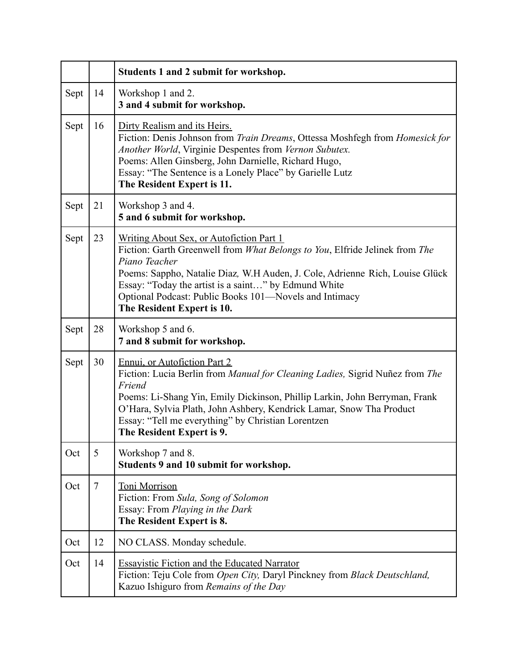|      |        | Students 1 and 2 submit for workshop.                                                                                                                                                                                                                                                                                                                                    |
|------|--------|--------------------------------------------------------------------------------------------------------------------------------------------------------------------------------------------------------------------------------------------------------------------------------------------------------------------------------------------------------------------------|
| Sept | 14     | Workshop 1 and 2.<br>3 and 4 submit for workshop.                                                                                                                                                                                                                                                                                                                        |
| Sept | 16     | Dirty Realism and its Heirs.<br>Fiction: Denis Johnson from Train Dreams, Ottessa Moshfegh from Homesick for<br>Another World, Virginie Despentes from Vernon Subutex.<br>Poems: Allen Ginsberg, John Darnielle, Richard Hugo,<br>Essay: "The Sentence is a Lonely Place" by Garielle Lutz<br>The Resident Expert is 11.                                                 |
| Sept | 21     | Workshop 3 and 4.<br>5 and 6 submit for workshop.                                                                                                                                                                                                                                                                                                                        |
| Sept | 23     | Writing About Sex, or Autofiction Part 1<br>Fiction: Garth Greenwell from What Belongs to You, Elfride Jelinek from The<br>Piano Teacher<br>Poems: Sappho, Natalie Diaz, W.H Auden, J. Cole, Adrienne Rich, Louise Glück<br>Essay: "Today the artist is a saint" by Edmund White<br>Optional Podcast: Public Books 101-Novels and Intimacy<br>The Resident Expert is 10. |
| Sept | 28     | Workshop 5 and 6.<br>7 and 8 submit for workshop.                                                                                                                                                                                                                                                                                                                        |
| Sept | 30     | Ennui, or Autofiction Part 2<br>Fiction: Lucia Berlin from Manual for Cleaning Ladies, Sigrid Nuñez from The<br>Friend<br>Poems: Li-Shang Yin, Emily Dickinson, Phillip Larkin, John Berryman, Frank<br>O'Hara, Sylvia Plath, John Ashbery, Kendrick Lamar, Snow Tha Product<br>Essay: "Tell me everything" by Christian Lorentzen<br>The Resident Expert is 9.          |
| Oct  | 5      | Workshop 7 and 8.<br>Students 9 and 10 submit for workshop.                                                                                                                                                                                                                                                                                                              |
| Oct  | $\tau$ | <b>Toni Morrison</b><br>Fiction: From Sula, Song of Solomon<br>Essay: From Playing in the Dark<br>The Resident Expert is 8.                                                                                                                                                                                                                                              |
| Oct  | 12     | NO CLASS. Monday schedule.                                                                                                                                                                                                                                                                                                                                               |
| Oct  | 14     | <b>Essayistic Fiction and the Educated Narrator</b><br>Fiction: Teju Cole from Open City, Daryl Pinckney from Black Deutschland,<br>Kazuo Ishiguro from Remains of the Day                                                                                                                                                                                               |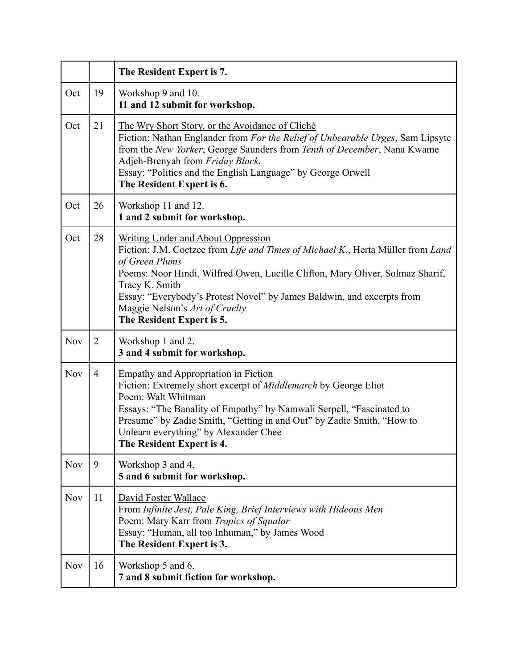|            |                | The Resident Expert is 7.                                                                                                                                                                                                                                                                                                                                                                  |
|------------|----------------|--------------------------------------------------------------------------------------------------------------------------------------------------------------------------------------------------------------------------------------------------------------------------------------------------------------------------------------------------------------------------------------------|
| Oct        | 19             | Workshop 9 and 10.<br>11 and 12 submit for workshop.                                                                                                                                                                                                                                                                                                                                       |
| Oct        | 21             | <u>The Wry Short Story, or the Avoidance of Cliché</u><br>Fiction: Nathan Englander from For the Relief of Unbearable Urges, Sam Lipsyte<br>from the New Yorker, George Saunders from Tenth of December, Nana Kwame<br>Adjeh-Brenyah from Friday Black.<br>Essay: "Politics and the English Language" by George Orwell<br>The Resident Expert is 6.                                        |
| Oct        | 26             | Workshop 11 and 12.<br>1 and 2 submit for workshop.                                                                                                                                                                                                                                                                                                                                        |
| Oct        | 28             | <b>Writing Under and About Oppression</b><br>Fiction: J.M. Coetzee from Life and Times of Michael K., Herta Müller from Land<br>of Green Plums<br>Poems: Noor Hindi, Wilfred Owen, Lucille Clifton, Mary Oliver, Solmaz Sharif,<br>Tracy K. Smith<br>Essay: "Everybody's Protest Novel" by James Baldwin, and excerpts from<br>Maggie Nelson's Art of Cruelty<br>The Resident Expert is 5. |
| <b>Nov</b> | 2              | Workshop 1 and 2.<br>3 and 4 submit for workshop.                                                                                                                                                                                                                                                                                                                                          |
| <b>Nov</b> | $\overline{4}$ | <b>Empathy and Appropriation in Fiction</b><br>Fiction: Extremely short excerpt of <i>Middlemarch</i> by George Eliot<br>Poem: Walt Whitman<br>Essays: "The Banality of Empathy" by Namwali Serpell, "Fascinated to<br>Presume" by Zadie Smith, "Getting in and Out" by Zadie Smith, "How to<br>Unlearn everything" by Alexander Chee<br>The Resident Expert is 4.                         |
| <b>Nov</b> | 9              | Workshop 3 and 4.<br>5 and 6 submit for workshop.                                                                                                                                                                                                                                                                                                                                          |
| <b>Nov</b> | 11             | David Foster Wallace<br>From Infinite Jest, Pale King, Brief Interviews with Hideous Men<br>Poem: Mary Karr from Tropics of Squalor<br>Essay: "Human, all too Inhuman," by James Wood<br>The Resident Expert is 3.                                                                                                                                                                         |
| <b>Nov</b> | 16             | Workshop 5 and 6.<br>7 and 8 submit fiction for workshop.                                                                                                                                                                                                                                                                                                                                  |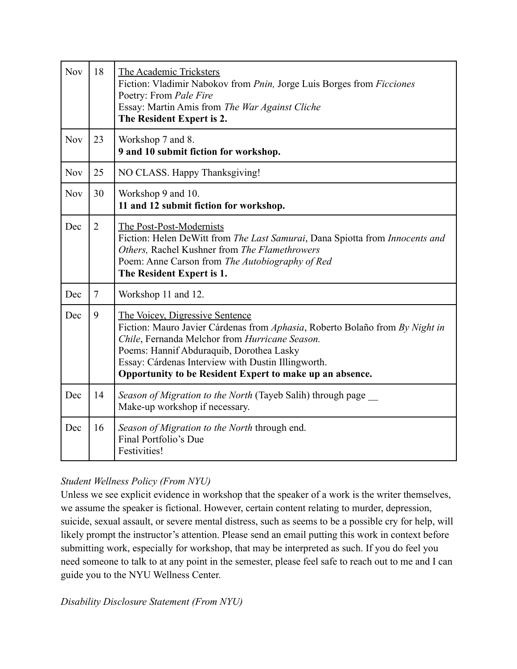| <b>Nov</b> | 18             | The Academic Tricksters<br>Fiction: Vladimir Nabokov from <i>Pnin</i> , Jorge Luis Borges from <i>Ficciones</i><br>Poetry: From Pale Fire<br>Essay: Martin Amis from The War Against Cliche<br>The Resident Expert is 2.                                                                                                        |
|------------|----------------|---------------------------------------------------------------------------------------------------------------------------------------------------------------------------------------------------------------------------------------------------------------------------------------------------------------------------------|
| <b>Nov</b> | 23             | Workshop 7 and 8.<br>9 and 10 submit fiction for workshop.                                                                                                                                                                                                                                                                      |
| <b>Nov</b> | 25             | NO CLASS. Happy Thanksgiving!                                                                                                                                                                                                                                                                                                   |
| <b>Nov</b> | 30             | Workshop 9 and 10.<br>11 and 12 submit fiction for workshop.                                                                                                                                                                                                                                                                    |
| Dec        | $\overline{2}$ | The Post-Post-Modernists<br>Fiction: Helen DeWitt from The Last Samurai, Dana Spiotta from Innocents and<br>Others, Rachel Kushner from The Flamethrowers<br>Poem: Anne Carson from The Autobiography of Red<br>The Resident Expert is 1.                                                                                       |
| Dec        | $\overline{7}$ | Workshop 11 and 12.                                                                                                                                                                                                                                                                                                             |
| Dec        | 9              | The Voicey, Digressive Sentence<br>Fiction: Mauro Javier Cárdenas from Aphasia, Roberto Bolaño from By Night in<br>Chile, Fernanda Melchor from Hurricane Season.<br>Poems: Hannif Abduraquib, Dorothea Lasky<br>Essay: Cárdenas Interview with Dustin Illingworth.<br>Opportunity to be Resident Expert to make up an absence. |
| Dec        | 14             | Season of Migration to the North (Tayeb Salih) through page<br>Make-up workshop if necessary.                                                                                                                                                                                                                                   |
| Dec        | 16             | Season of Migration to the North through end.<br>Final Portfolio's Due<br>Festivities!                                                                                                                                                                                                                                          |

# *Student Wellness Policy (From NYU)*

Unless we see explicit evidence in workshop that the speaker of a work is the writer themselves, we assume the speaker is fictional. However, certain content relating to murder, depression, suicide, sexual assault, or severe mental distress, such as seems to be a possible cry for help, will likely prompt the instructor's attention. Please send an email putting this work in context before submitting work, especially for workshop, that may be interpreted as such. If you do feel you need someone to talk to at any point in the semester, please feel safe to reach out to me and I can guide you to the NYU Wellness Center.

*Disability Disclosure Statement (From NYU)*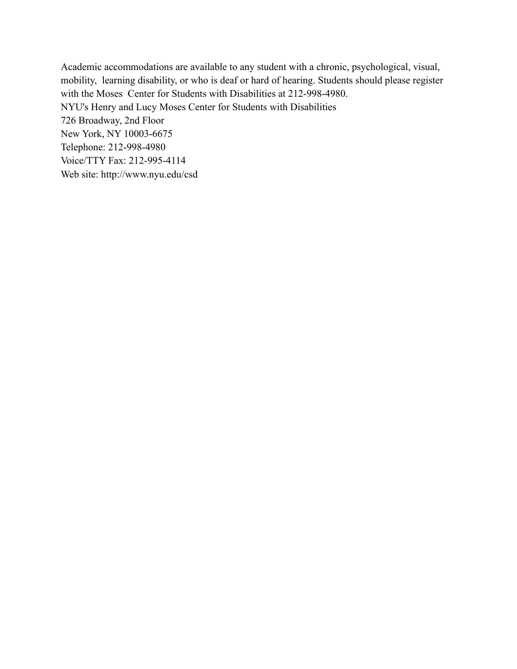Academic accommodations are available to any student with a chronic, psychological, visual, mobility, learning disability, or who is deaf or hard of hearing. Students should please register with the Moses Center for Students with Disabilities at 212-998-4980. NYU's Henry and Lucy Moses Center for Students with Disabilities 726 Broadway, 2nd Floor New York, NY 10003-6675 Telephone: 212-998-4980 Voice/TTY Fax: 212-995-4114 Web site: http://www.nyu.edu/csd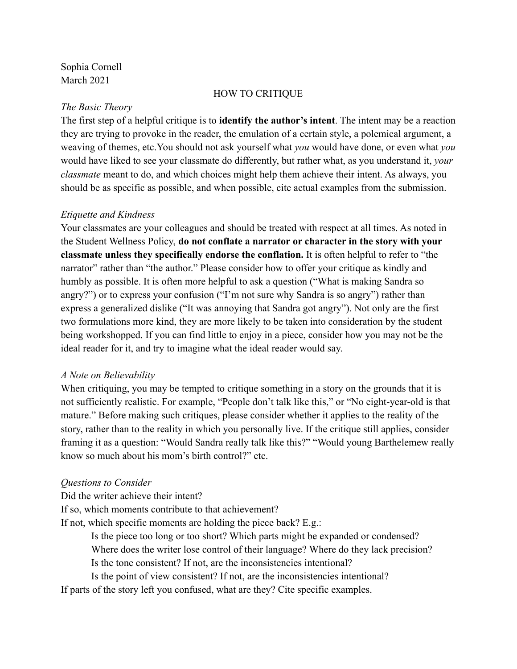Sophia Cornell March 2021

#### HOW TO CRITIQUE

## *The Basic Theory*

The first step of a helpful critique is to **identify the author's intent**. The intent may be a reaction they are trying to provoke in the reader, the emulation of a certain style, a polemical argument, a weaving of themes, etc.You should not ask yourself what *you* would have done, or even what *you* would have liked to see your classmate do differently, but rather what, as you understand it, *your classmate* meant to do, and which choices might help them achieve their intent. As always, you should be as specific as possible, and when possible, cite actual examples from the submission.

## *Etiquette and Kindness*

Your classmates are your colleagues and should be treated with respect at all times. As noted in the Student Wellness Policy, **do not conflate a narrator or character in the story with your classmate unless they specifically endorse the conflation.** It is often helpful to refer to "the narrator" rather than "the author." Please consider how to offer your critique as kindly and humbly as possible. It is often more helpful to ask a question ("What is making Sandra so angry?") or to express your confusion ("I'm not sure why Sandra is so angry") rather than express a generalized dislike ("It was annoying that Sandra got angry"). Not only are the first two formulations more kind, they are more likely to be taken into consideration by the student being workshopped. If you can find little to enjoy in a piece, consider how you may not be the ideal reader for it, and try to imagine what the ideal reader would say.

## *A Note on Believability*

When critiquing, you may be tempted to critique something in a story on the grounds that it is not sufficiently realistic. For example, "People don't talk like this," or "No eight-year-old is that mature." Before making such critiques, please consider whether it applies to the reality of the story, rather than to the reality in which you personally live. If the critique still applies, consider framing it as a question: "Would Sandra really talk like this?" "Would young Barthelemew really know so much about his mom's birth control?" etc.

## *Questions to Consider*

Did the writer achieve their intent?

If so, which moments contribute to that achievement?

If not, which specific moments are holding the piece back? E.g.:

Is the piece too long or too short? Which parts might be expanded or condensed? Where does the writer lose control of their language? Where do they lack precision?

Is the tone consistent? If not, are the inconsistencies intentional?

Is the point of view consistent? If not, are the inconsistencies intentional?

If parts of the story left you confused, what are they? Cite specific examples.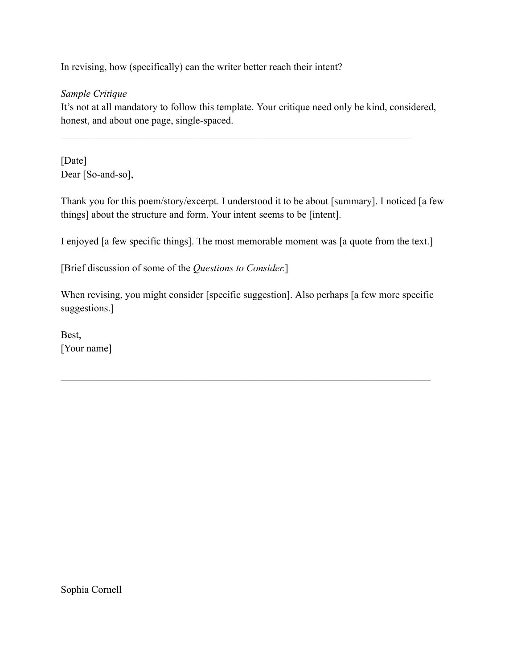In revising, how (specifically) can the writer better reach their intent?

## *Sample Critique*

It's not at all mandatory to follow this template. Your critique need only be kind, considered, honest, and about one page, single-spaced.

[Date] Dear [So-and-so],

Thank you for this poem/story/excerpt. I understood it to be about [summary]. I noticed [a few things] about the structure and form. Your intent seems to be [intent].

I enjoyed [a few specific things]. The most memorable moment was [a quote from the text.]

[Brief discussion of some of the *Questions to Consider.*]

When revising, you might consider [specific suggestion]. Also perhaps [a few more specific suggestions.]

 $\mathcal{L}_\mathcal{L} = \mathcal{L}_\mathcal{L} = \mathcal{L}_\mathcal{L} = \mathcal{L}_\mathcal{L} = \mathcal{L}_\mathcal{L} = \mathcal{L}_\mathcal{L} = \mathcal{L}_\mathcal{L} = \mathcal{L}_\mathcal{L} = \mathcal{L}_\mathcal{L} = \mathcal{L}_\mathcal{L} = \mathcal{L}_\mathcal{L} = \mathcal{L}_\mathcal{L} = \mathcal{L}_\mathcal{L} = \mathcal{L}_\mathcal{L} = \mathcal{L}_\mathcal{L} = \mathcal{L}_\mathcal{L} = \mathcal{L}_\mathcal{L}$ 

Best, [Your name]

Sophia Cornell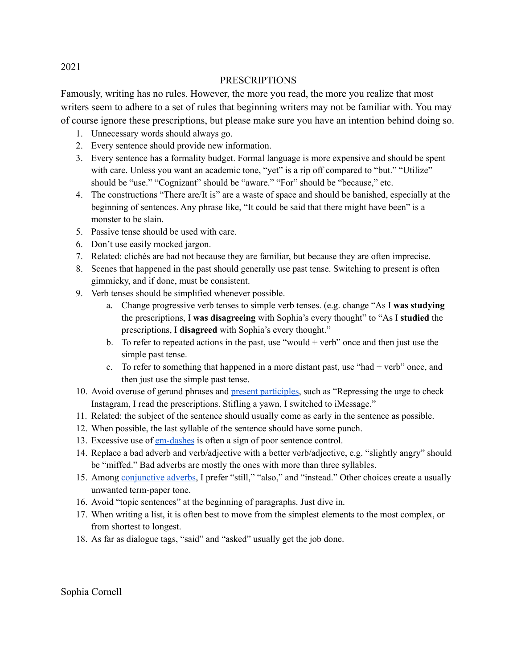#### PRESCRIPTIONS

Famously, writing has no rules. However, the more you read, the more you realize that most writers seem to adhere to a set of rules that beginning writers may not be familiar with. You may of course ignore these prescriptions, but please make sure you have an intention behind doing so.

- 1. Unnecessary words should always go.
- 2. Every sentence should provide new information.
- 3. Every sentence has a formality budget. Formal language is more expensive and should be spent with care. Unless you want an academic tone, "yet" is a rip off compared to "but." "Utilize" should be "use." "Cognizant" should be "aware." "For" should be "because," etc.
- 4. The constructions "There are/It is" are a waste of space and should be banished, especially at the beginning of sentences. Any phrase like, "It could be said that there might have been" is a monster to be slain.
- 5. Passive tense should be used with care.
- 6. Don't use easily mocked jargon.
- 7. Related: clichés are bad not because they are familiar, but because they are often imprecise.
- 8. Scenes that happened in the past should generally use past tense. Switching to present is often gimmicky, and if done, must be consistent.
- 9. Verb tenses should be simplified whenever possible.
	- a. Change progressive verb tenses to simple verb tenses. (e.g. change "As I **was studying** the prescriptions, I **was disagreeing** with Sophia's every thought" to "As I **studied** the prescriptions, I **disagreed** with Sophia's every thought."
	- b. To refer to repeated actions in the past, use "would + verb" once and then just use the simple past tense.
	- c. To refer to something that happened in a more distant past, use "had  $+$  verb" once, and then just use the simple past tense.
- 10. Avoid overuse of gerund phrases and present [participles](http://jordanmccollum.com/2011/08/kill-participles/), such as "Repressing the urge to check Instagram, I read the prescriptions. Stifling a yawn, I switched to iMessage."
- 11. Related: the subject of the sentence should usually come as early in the sentence as possible.
- 12. When possible, the last syllable of the sentence should have some punch.
- 13. Excessive use of [em-dashes](https://www.thesaurus.com/e/grammar/em-dash/#:~:text=The%20em%20dash%20is%20an,uses%20(and%20possible%20overuses).) is often a sign of poor sentence control.
- 14. Replace a bad adverb and verb/adjective with a better verb/adjective, e.g. "slightly angry" should be "miffed." Bad adverbs are mostly the ones with more than three syllables.
- 15. Among [conjunctive](http://www.chompchomp.com/terms/conjunctiveadverb.htm) adverbs, I prefer "still," "also," and "instead." Other choices create a usually unwanted term-paper tone.
- 16. Avoid "topic sentences" at the beginning of paragraphs. Just dive in.
- 17. When writing a list, it is often best to move from the simplest elements to the most complex, or from shortest to longest.
- 18. As far as dialogue tags, "said" and "asked" usually get the job done.

Sophia Cornell

2021